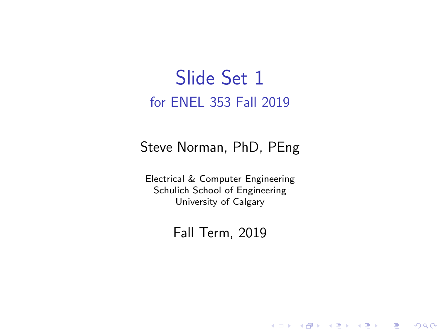# Slide Set 1 for ENEL 353 Fall 2019

#### Steve Norman, PhD, PEng

Electrical & Computer Engineering Schulich School of Engineering University of Calgary

### Fall Term, 2019

メロメ メ御メ メ君メ メ君メー

一番

 $2Q$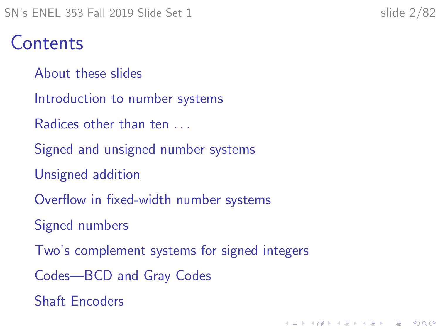# **Contents**

- [About these slides](#page-2-0)
- [Introduction to number systems](#page-5-0)
- Radices other than ten ...
- [Signed and unsigned number systems](#page-26-0)
- [Unsigned addition](#page-29-0)
- [Overflow in fixed-width number systems](#page-37-0)
- [Signed numbers](#page-41-0)
- [Two's complement systems for signed integers](#page-47-0)

K ロ ▶ K 個 ▶ K 할 ▶ K 할 ▶ 이 할 → 9 Q Q →

- [Codes—BCD and Gray Codes](#page-62-0)
- [Shaft Encoders](#page-73-0)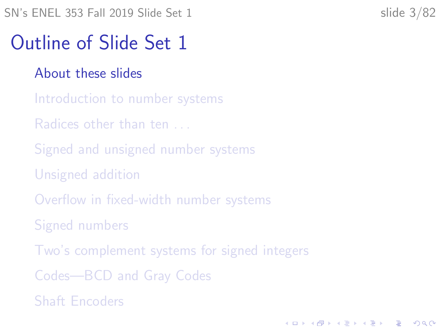# <span id="page-2-0"></span>Outline of Slide Set 1

### [About these slides](#page-2-0)

- [Introduction to number systems](#page-5-0)
- [Radices other than ten . . .](#page-10-0)
- [Signed and unsigned number systems](#page-26-0)
- [Unsigned addition](#page-29-0)
- [Overflow in fixed-width number systems](#page-37-0)
- [Signed numbers](#page-41-0)
- [Two's complement systems for signed integers](#page-47-0)
- [Codes—BCD and Gray Codes](#page-62-0)
- [Shaft Encoders](#page-73-0)

**KORKARYKERKER OQO**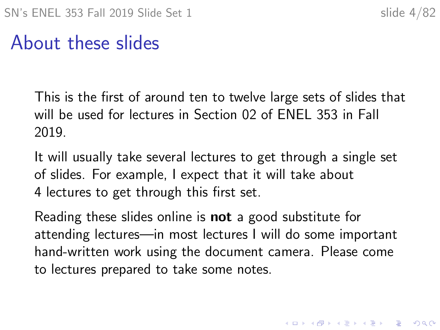# About these slides

This is the first of around ten to twelve large sets of slides that will be used for lectures in Section 02 of ENEL 353 in Fall 2019.

It will usually take several lectures to get through a single set of slides. For example, I expect that it will take about 4 lectures to get through this first set.

Reading these slides online is **not** a good substitute for attending lectures—in most lectures I will do some important hand-written work using the document camera. Please come to lectures prepared to take some notes.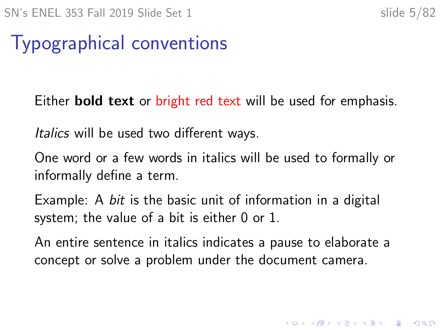# Typographical conventions

Either **bold text** or bright red text will be used for emphasis.

Italics will be used two different ways.

One word or a few words in italics will be used to formally or informally define a term.

Example: A *bit* is the basic unit of information in a digital system; the value of a bit is either 0 or 1.

An entire sentence in italics indicates a pause to elaborate a concept or solve a problem under the document camera.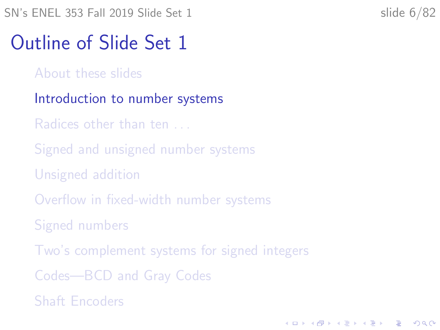<span id="page-5-0"></span>SN's ENEL 353 Fall 2019 Slide Set 1 slide 6/82

# Outline of Slide Set 1

- [About these slides](#page-2-0)
- [Introduction to number systems](#page-5-0)
- Radices other than ten ...
- [Signed and unsigned number systems](#page-26-0)
- [Unsigned addition](#page-29-0)
- [Overflow in fixed-width number systems](#page-37-0)
- [Signed numbers](#page-41-0)
- [Two's complement systems for signed integers](#page-47-0)

**KORKARYKERKER OQO** 

- [Codes—BCD and Gray Codes](#page-62-0)
- [Shaft Encoders](#page-73-0)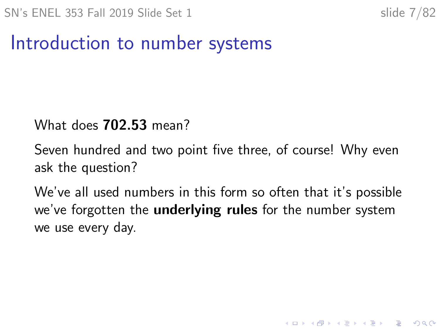**KORKARYKERKER OQO** 

# Introduction to number systems

#### What does 702.53 mean?

Seven hundred and two point five three, of course! Why even ask the question?

We've all used numbers in this form so often that it's possible we've forgotten the **underlying rules** for the number system we use every day.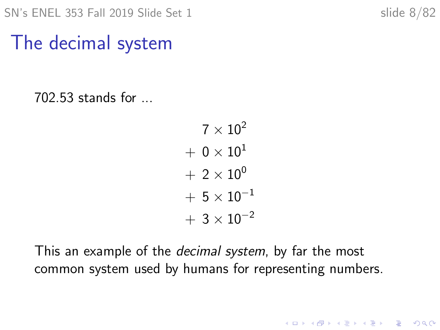**KORK ERKER ADAM ADA** 

# The decimal system

702.53 stands for ...

 $7 \times 10^2$  $+ 0 \times 10^{1}$  $+ 2 \times 10^{0}$  $+ 5 \times 10^{-1}$  $+ 3 \times 10^{-2}$ 

This an example of the *decimal system*, by far the most common system used by humans for representing numbers.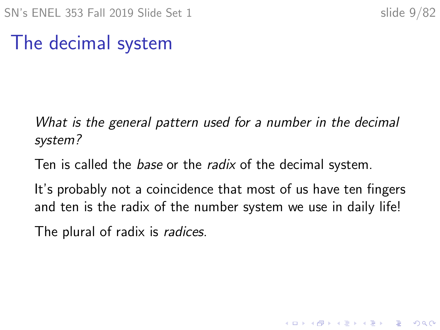K ロ ▶ K 個 ▶ K 할 ▶ K 할 ▶ 이 할 → 이익 @

# The decimal system

What is the general pattern used for a number in the decimal system?

Ten is called the *base* or the *radix* of the decimal system.

It's probably not a coincidence that most of us have ten fingers and ten is the radix of the number system we use in daily life!

The plural of radix is radices.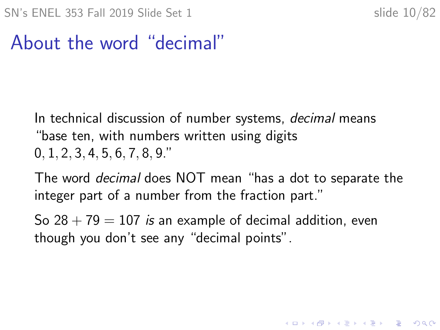# About the word "decimal"

In technical discussion of number systems, *decimal* means "base ten, with numbers written using digits 0, 1, 2, 3, 4, 5, 6, 7, 8, 9."

The word decimal does NOT mean "has a dot to separate the integer part of a number from the fraction part."

So  $28 + 79 = 107$  is an example of decimal addition, even though you don't see any "decimal points".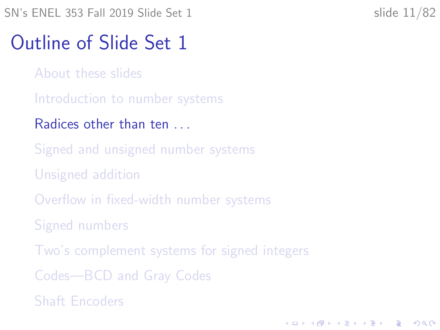<span id="page-10-0"></span>SN's ENEL 353 Fall 2019 Slide Set 1 slide 11/82

# Outline of Slide Set 1

- [About these slides](#page-2-0)
- [Introduction to number systems](#page-5-0)
- Radices other than ten ...
- [Signed and unsigned number systems](#page-26-0)
- [Unsigned addition](#page-29-0)
- [Overflow in fixed-width number systems](#page-37-0)
- [Signed numbers](#page-41-0)
- [Two's complement systems for signed integers](#page-47-0)

**KORKARYKERKER OQO** 

- [Codes—BCD and Gray Codes](#page-62-0)
- [Shaft Encoders](#page-73-0)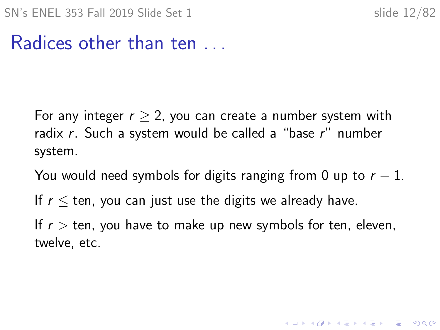## Radices other than ten

For any integer  $r > 2$ , you can create a number system with radix  $r$ . Such a system would be called a "base  $r$ " number system.

You would need symbols for digits ranging from 0 up to  $r - 1$ .

If  $r <$  ten, you can just use the digits we already have.

If  $r >$  ten, you have to make up new symbols for ten, eleven, twelve, etc.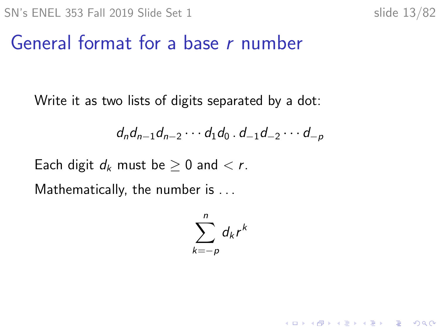K ロ ▶ K 個 ▶ K 할 ▶ K 할 ▶ 이 할 → 9 Q Q →

# General format for a base r number

Write it as two lists of digits separated by a dot:

$$
d_n d_{n-1} d_{n-2} \cdots d_1 d_0 \cdot d_{-1} d_{-2} \cdots d_{-p}
$$

Each digit  $d_k$  must be  $\geq 0$  and  $\lt r$ .

Mathematically, the number is ...

$$
\sum_{k=-p}^n d_k r^k
$$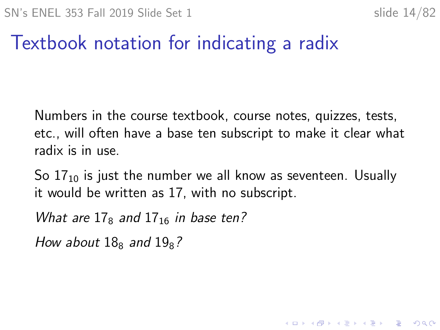# Textbook notation for indicating a radix

Numbers in the course textbook, course notes, quizzes, tests, etc., will often have a base ten subscript to make it clear what radix is in use.

So  $17_{10}$  is just the number we all know as seventeen. Usually it would be written as 17, with no subscript.

What are  $17<sub>8</sub>$  and  $17<sub>16</sub>$  in base ten?

How about  $18<sub>8</sub>$  and  $19<sub>8</sub>$ ?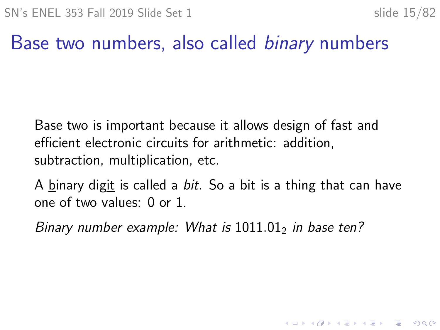## Base two numbers, also called *binary* numbers

Base two is important because it allows design of fast and efficient electronic circuits for arithmetic: addition, subtraction, multiplication, etc.

A binary digit is called a *bit*. So a bit is a thing that can have one of two values: 0 or 1.

Binary number example: What is  $1011.01<sub>2</sub>$  in base ten?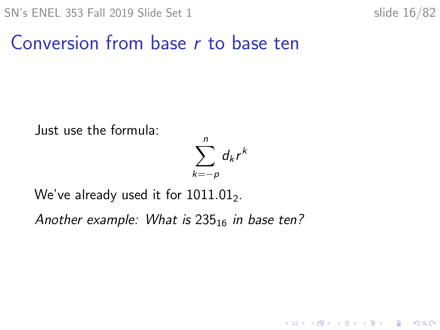K ロ ▶ K 個 ▶ K 할 ▶ K 할 ▶ 이 할 → 9 Q Q →

# Conversion from base r to base ten

Just use the formula:

$$
\sum_{k=-p}^n d_k r^k
$$

We've already used it for  $1011.01<sub>2</sub>$ .

Another example: What is  $235_{16}$  in base ten?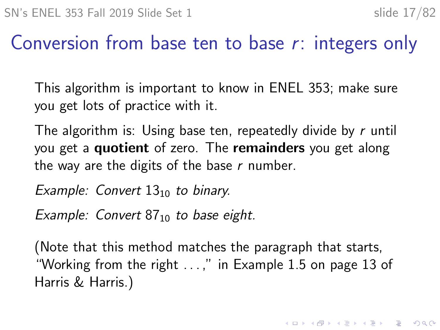# Conversion from base ten to base r: integers only

This algorithm is important to know in ENEL 353; make sure you get lots of practice with it.

The algorithm is: Using base ten, repeatedly divide by r until you get a **quotient** of zero. The **remainders** you get along the way are the digits of the base  $r$  number.

Example: Convert  $13_{10}$  to binary.

Example: Convert  $87_{10}$  to base eight.

(Note that this method matches the paragraph that starts, "Working from the right . . . ," in Example 1.5 on page 13 of Harris & Harris.)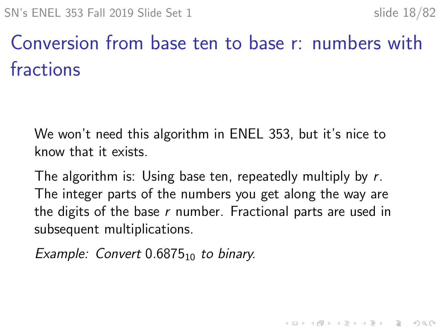# Conversion from base ten to base r: numbers with fractions

We won't need this algorithm in ENEL 353, but it's nice to know that it exists.

The algorithm is: Using base ten, repeatedly multiply by r. The integer parts of the numbers you get along the way are the digits of the base  $r$  number. Fractional parts are used in subsequent multiplications.

Example: Convert  $0.6875_{10}$  to binary.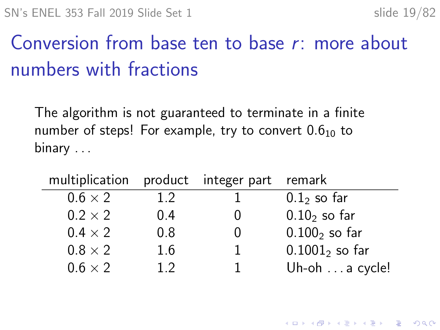# Conversion from base ten to base r: more about numbers with fractions

The algorithm is not guaranteed to terminate in a finite number of steps! For example, try to convert  $0.6<sub>10</sub>$  to binary ...

| multiplication product integer part remark |     |                  |
|--------------------------------------------|-----|------------------|
| $0.6 \times 2$                             | 1.2 | $0.12$ so far    |
| $0.2 \times 2$                             | 0.4 | $0.102$ so far   |
| $0.4 \times 2$                             | 0.8 | $0.1002$ so far  |
| $0.8 \times 2$                             | 1.6 | $0.10012$ so far |
| $0.6 \times 2$                             | 12  | Uh-oh a cycle!   |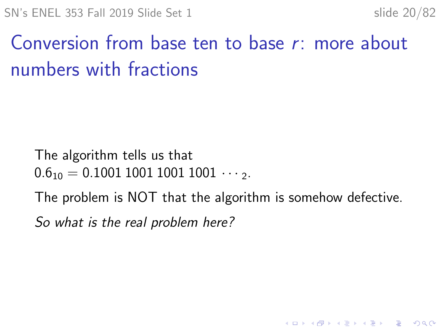**KORKARYKERKER OQO** 

# Conversion from base ten to base r: more about numbers with fractions

The algorithm tells us that

 $0.6_{10} = 0.1001100110011001 \cdots$ 

The problem is NOT that the algorithm is somehow defective.

So what is the real problem here?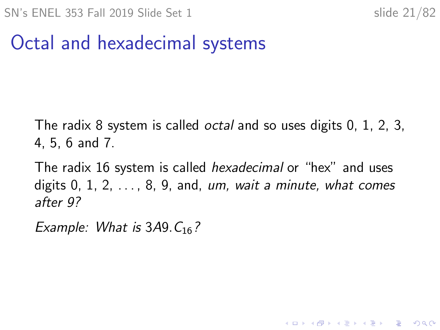# Octal and hexadecimal systems

The radix 8 system is called octal and so uses digits 0, 1, 2, 3, 4, 5, 6 and 7.

The radix 16 system is called hexadecimal or "hex" and uses digits  $0, 1, 2, \ldots, 8, 9$ , and, um, wait a minute, what comes after 9?

Example: What is  $3A9.C<sub>16</sub>$ ?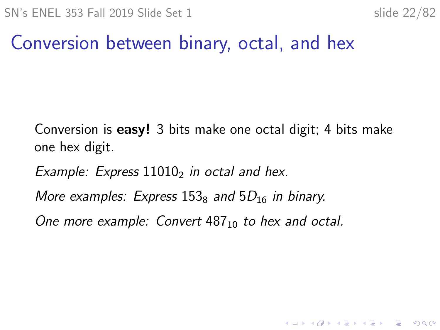# Conversion between binary, octal, and hex

Conversion is easy! 3 bits make one octal digit; 4 bits make one hex digit.

Example: Express  $11010<sub>2</sub>$  in octal and hex.

More examples: Express  $153<sub>8</sub>$  and  $5D<sub>16</sub>$  in binary.

One more example: Convert  $487_{10}$  to hex and octal.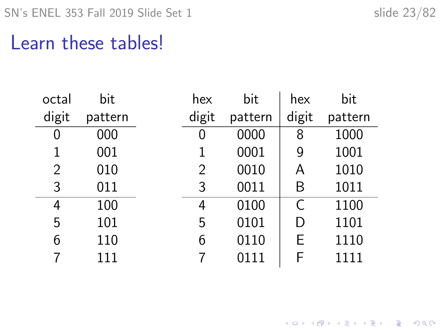K ロ ▶ K @ ▶ K 할 ▶ K 할 ▶ . 할 . ⊙ Q Q ^

# Learn these tables!

| octal          | bit     | hex            | bit     | hex   | bit     |
|----------------|---------|----------------|---------|-------|---------|
| digit          | pattern | digit          | pattern | digit | pattern |
| 0              | 000     | 0              | 0000    | 8     | 1000    |
| 1              | 001     | 1              | 0001    | 9     | 1001    |
| $\overline{2}$ | 010     | $\overline{2}$ | 0010    | Α     | 1010    |
| 3              | 011     | 3              | 0011    | Β     | 1011    |
| 4              | 100     | 4              | 0100    | C     | 1100    |
| 5              | 101     | 5              | 0101    | D     | 1101    |
| 6              | 110     | 6              | 0110    | Е     | 1110    |
| 7              | 111     | 7              | 0111    | F     | 1111    |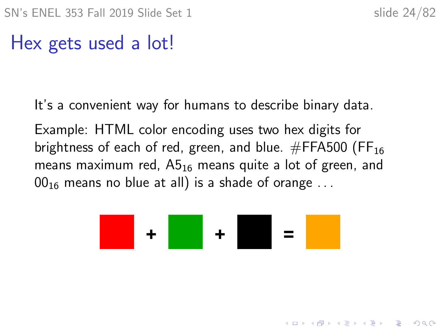KID KA KERKER KID KO

# Hex gets used a lot!

It's a convenient way for humans to describe binary data.

Example: HTML color encoding uses two hex digits for brightness of each of red, green, and blue.  $\#FFA500$  (FF<sub>16</sub>) means maximum red,  $A5_{16}$  means quite a lot of green, and  $00_{16}$  means no blue at all) is a shade of orange ...

$$
\bullet \bullet \bullet \bullet \bullet \bullet \bullet \bullet \bullet \bullet \bullet \bullet
$$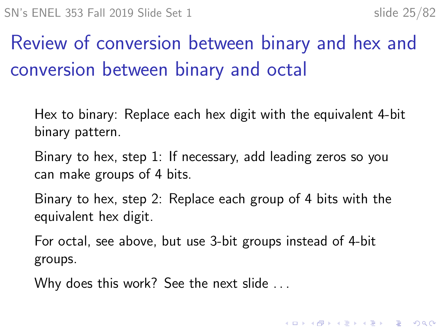# Review of conversion between binary and hex and conversion between binary and octal

- Hex to binary: Replace each hex digit with the equivalent 4-bit binary pattern.
- Binary to hex, step 1: If necessary, add leading zeros so you can make groups of 4 bits.
- Binary to hex, step 2: Replace each group of 4 bits with the equivalent hex digit.
- For octal, see above, but use 3-bit groups instead of 4-bit groups.
- Why does this work? See the next slide . . .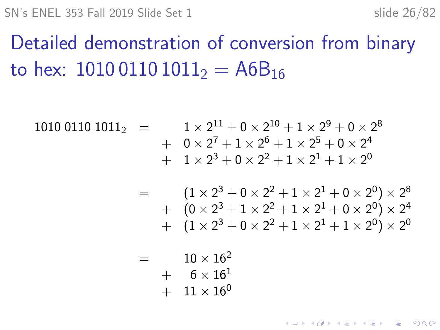$SN's ENEL 353$  Fall 2019 Slide Set 1 slide 26/82

Detailed demonstration of conversion from binary to hex:  $101001101011_2 = A6B_{16}$ 

$$
1010 0110 10112 = 1 × 211 + 0 × 210 + 1 × 29 + 0 × 28 + 0 × 27 + 1 × 26 + 1 × 25 + 0 × 24 + 1 × 23 + 0 × 22 + 1 × 21 + 1 × 20
$$

 $\hspace{1.6cm} = \hspace{1.2cm} (1 \times 2^3 + 0 \times 2^2 + 1 \times 2^1 + 0 \times 2^0) \times 2^8$  $+$   $(0 \times 2^3 + 1 \times 2^2 + 1 \times 2^1 + 0 \times 2^0) \times 2^4$  $+$   $(1 \times 2^3 + 0 \times 2^2 + 1 \times 2^1 + 1 \times 2^0) \times 2^0$ 

**KORKARYKERKER OQO** 

 $= 10 \times 16^2$  $+ 6 \times 16^{1}$  $+$  11  $\times$  16<sup>0</sup>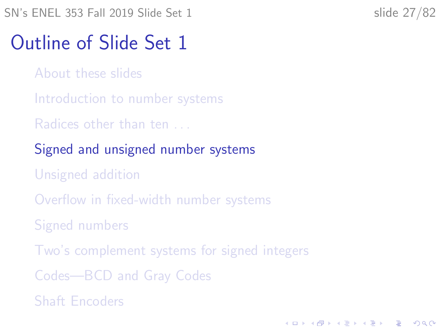**KORKARYKERKER OQO** 

# <span id="page-26-0"></span>Outline of Slide Set 1

- [About these slides](#page-2-0)
- [Introduction to number systems](#page-5-0)
- [Radices other than ten . . .](#page-10-0)
- [Signed and unsigned number systems](#page-26-0)
- [Unsigned addition](#page-29-0)
- [Overflow in fixed-width number systems](#page-37-0)
- [Signed numbers](#page-41-0)
- [Two's complement systems for signed integers](#page-47-0)
- [Codes—BCD and Gray Codes](#page-62-0)
- [Shaft Encoders](#page-73-0)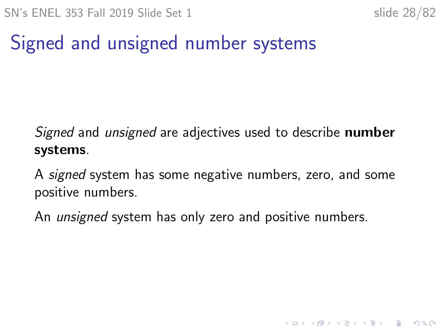# Signed and unsigned number systems

Signed and *unsigned* are adjectives used to describe **number** systems.

A signed system has some negative numbers, zero, and some positive numbers.

An *unsigned* system has only zero and positive numbers.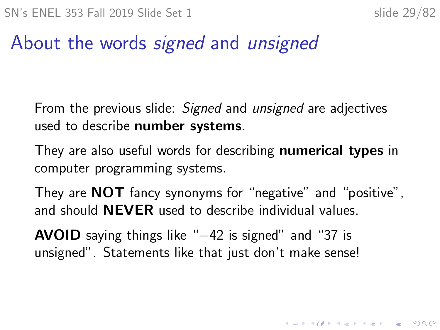# About the words *signed* and *unsigned*

From the previous slide: Signed and unsigned are adjectives used to describe number systems.

They are also useful words for describing **numerical types** in computer programming systems.

They are **NOT** fancy synonyms for "negative" and "positive", and should NEVER used to describe individual values.

**AVOID** saying things like "–42 is signed" and "37 is unsigned". Statements like that just don't make sense!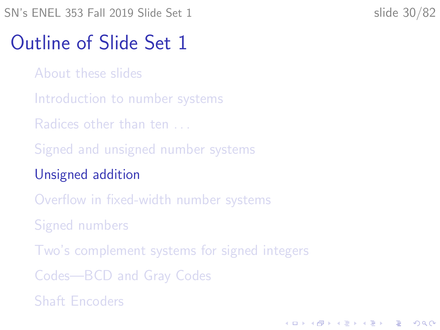**KORKARYKERKER OQO** 

# <span id="page-29-0"></span>Outline of Slide Set 1

- [About these slides](#page-2-0)
- [Introduction to number systems](#page-5-0)
- [Radices other than ten . . .](#page-10-0)
- [Signed and unsigned number systems](#page-26-0)
- [Unsigned addition](#page-29-0)
- [Overflow in fixed-width number systems](#page-37-0)
- [Signed numbers](#page-41-0)
- [Two's complement systems for signed integers](#page-47-0)
- [Codes—BCD and Gray Codes](#page-62-0)
- [Shaft Encoders](#page-73-0)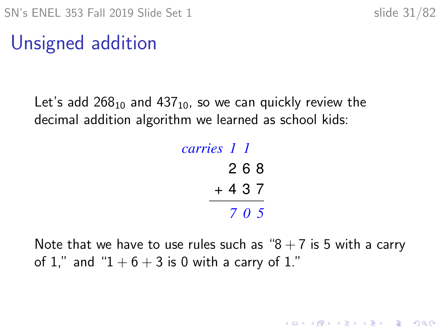**KORKARYKERKER OQO** 

# Unsigned addition

Let's add  $268_{10}$  and  $437_{10}$ , so we can quickly review the decimal addition algorithm we learned as school kids:

# 2 6 8  $+ 4 3 7$ *1 1 carries 7 0 5*

Note that we have to use rules such as " $8 + 7$  is 5 with a carry of 1," and " $1 + 6 + 3$  is 0 with a carry of 1."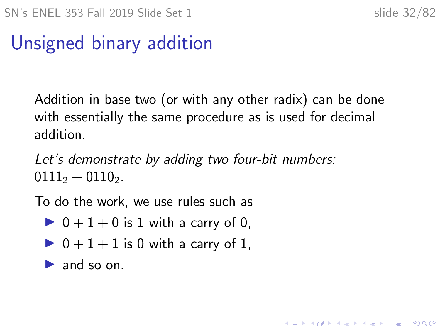# Unsigned binary addition

Addition in base two (or with any other radix) can be done with essentially the same procedure as is used for decimal addition.

Let's demonstrate by adding two four-bit numbers:  $0111_2 + 0110_2$ .

To do the work, we use rules such as

- $\triangleright$  0 + 1 + 0 is 1 with a carry of 0,
- $\triangleright$  0 + 1 + 1 is 0 with a carry of 1.

 $\blacktriangleright$  and so on.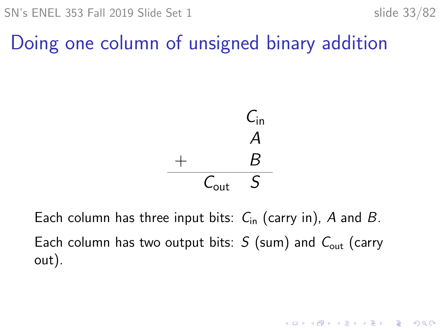**KORKARYKERKER OQO** 

# Doing one column of unsigned binary addition



Each column has three input bits:  $C_{\text{in}}$  (carry in), A and B. Each column has two output bits:  $S$  (sum) and  $C_{out}$  (carry out).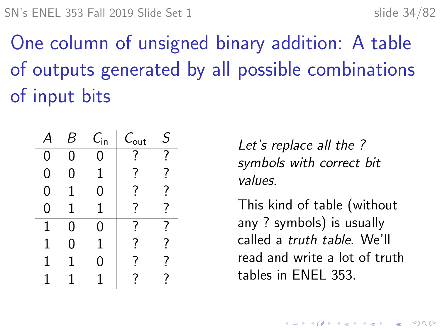One column of unsigned binary addition: A table of outputs generated by all possible combinations of input bits

|   |   | $\mathcal{C}_{\mathsf{in}}$ | $C_{\rm out}$ | $\varsigma$ |
|---|---|-----------------------------|---------------|-------------|
| 0 | O |                             |               |             |
| 0 | 0 | 1                           | 7             | ?           |
| 0 | 1 | 0                           | 7             | 7           |
| ი |   |                             | 7             | 7           |
| 1 | 0 | J                           |               |             |
| 1 | ი |                             | 7             | 7           |
| 1 |   | 0                           | 7             | 7           |
|   |   |                             |               | 7           |

Let's replace all the ? symbols with correct bit values.

This kind of table (without any ? symbols) is usually called a truth table. We'll read and write a lot of truth tables in ENEL 353.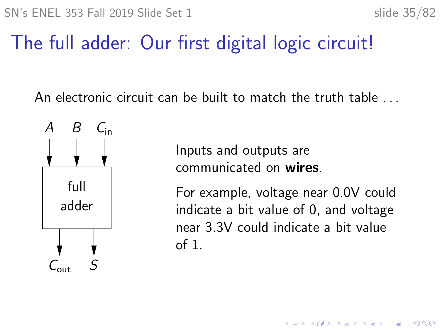# The full adder: Our first digital logic circuit!

An electronic circuit can be built to match the truth table . . .



Inputs and outputs are communicated on wires.

For example, voltage near 0.0V could indicate a bit value of 0, and voltage near 3.3V could indicate a bit value of 1.

**KORKARYKERKER OQO**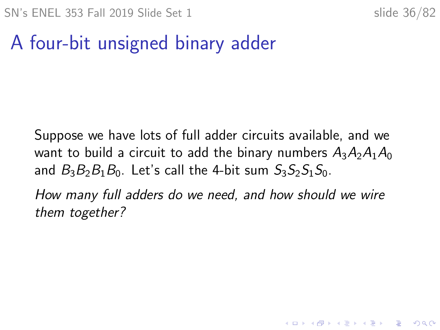**KORKARYKERKER OQO** 

# A four-bit unsigned binary adder

Suppose we have lots of full adder circuits available, and we want to build a circuit to add the binary numbers  $A_3A_2A_1A_0$ and  $B_3B_2B_1B_0$ . Let's call the 4-bit sum  $S_3S_2S_1S_0$ .

How many full adders do we need, and how should we wire them together?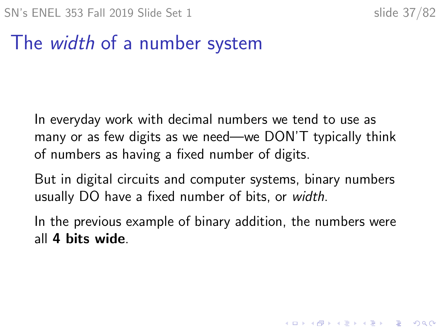#### The width of a number system

In everyday work with decimal numbers we tend to use as many or as few digits as we need—we DON'T typically think of numbers as having a fixed number of digits.

But in digital circuits and computer systems, binary numbers usually DO have a fixed number of bits, or width.

In the previous example of binary addition, the numbers were all 4 bits wide.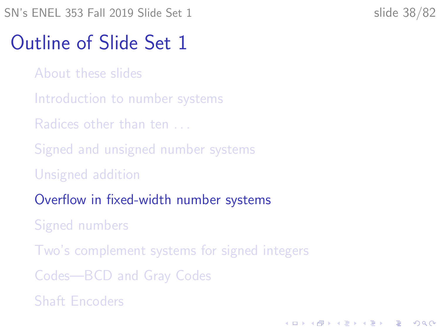### <span id="page-37-0"></span>Outline of Slide Set 1

- [About these slides](#page-2-0)
- [Introduction to number systems](#page-5-0)
- [Radices other than ten . . .](#page-10-0)
- [Signed and unsigned number systems](#page-26-0)
- [Unsigned addition](#page-29-0)
- [Overflow in fixed-width number systems](#page-37-0)
- [Signed numbers](#page-41-0)
- [Two's complement systems for signed integers](#page-47-0)
- [Codes—BCD and Gray Codes](#page-62-0)
- [Shaft Encoders](#page-73-0)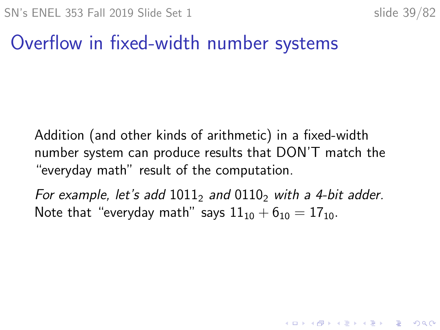#### Overflow in fixed-width number systems

Addition (and other kinds of arithmetic) in a fixed-width number system can produce results that DON'T match the "everyday math" result of the computation.

For example, let's add  $1011<sub>2</sub>$  and  $0110<sub>2</sub>$  with a 4-bit adder. Note that "everyday math" says  $11_{10} + 6_{10} = 17_{10}$ .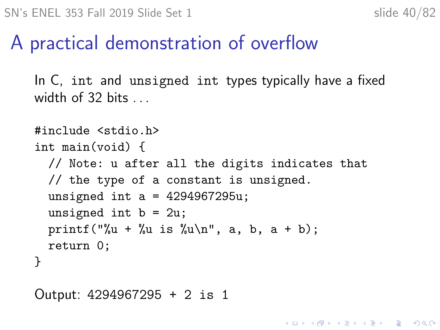#### A practical demonstration of overflow

In C, int and unsigned int types typically have a fixed width of 32 bits . . .

```
#include <stdio.h>
int main(void) {
  // Note: u after all the digits indicates that
  // the type of a constant is unsigned.
  unsigned int a = 4294967295u;
  unsigned int b = 2u;
  printf("%u + %u is %u\n", a, b, a + b);
  return 0;
}
```
Output: 4294967295 + 2 is 1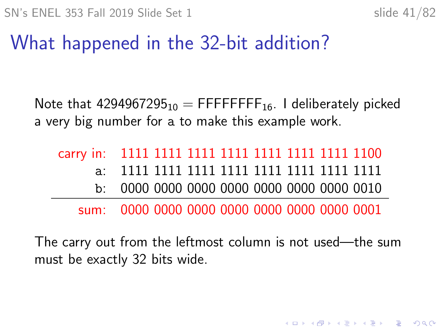### What happened in the 32-bit addition?

Note that  $4294967295_{10} = \text{FFFFFF}_{16}$ . I deliberately picked a very big number for a to make this example work.

The carry out from the leftmost column is not used—the sum must be exactly 32 bits wide.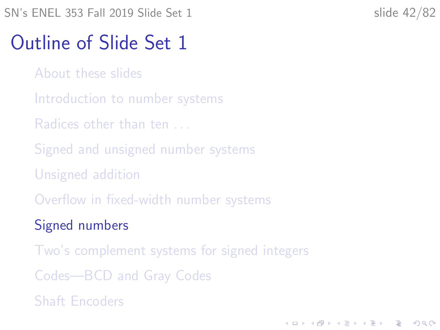#### <span id="page-41-0"></span>Outline of Slide Set 1

- [About these slides](#page-2-0)
- [Introduction to number systems](#page-5-0)
- [Radices other than ten . . .](#page-10-0)
- [Signed and unsigned number systems](#page-26-0)
- [Unsigned addition](#page-29-0)
- [Overflow in fixed-width number systems](#page-37-0)

#### [Signed numbers](#page-41-0)

- [Two's complement systems for signed integers](#page-47-0)
- [Codes—BCD and Gray Codes](#page-62-0)
- [Shaft Encoders](#page-73-0)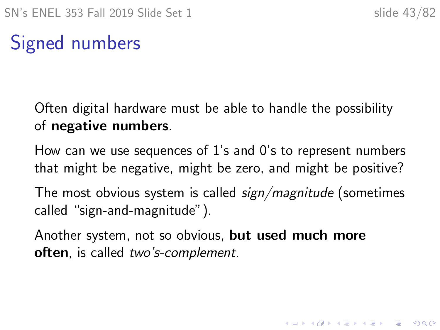## Signed numbers

Often digital hardware must be able to handle the possibility of negative numbers.

How can we use sequences of 1's and 0's to represent numbers that might be negative, might be zero, and might be positive?

The most obvious system is called *sign/magnitude* (sometimes called "sign-and-magnitude").

Another system, not so obvious, but used much more often, is called two's-complement.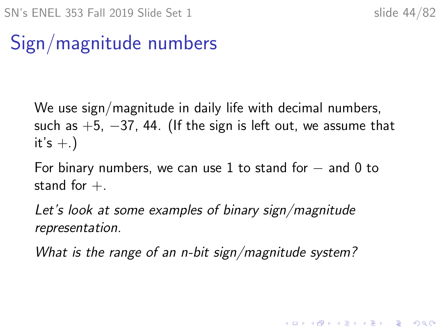## Sign/magnitude numbers

We use sign/magnitude in daily life with decimal numbers, such as  $+5$ ,  $-37$ , 44. (If the sign is left out, we assume that it's  $+$ .)

For binary numbers, we can use 1 to stand for  $-$  and 0 to stand for  $+$ .

Let's look at some examples of binary sign/magnitude representation.

What is the range of an n-bit sign/magnitude system?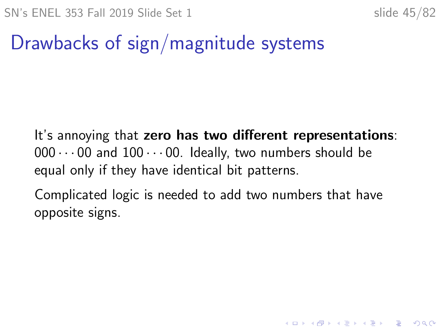#### Drawbacks of sign/magnitude systems

It's annoying that zero has two different representations:  $000 \cdots 00$  and  $100 \cdots 00$ . Ideally, two numbers should be equal only if they have identical bit patterns.

Complicated logic is needed to add two numbers that have opposite signs.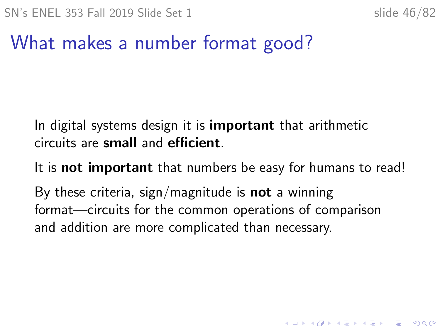#### What makes a number format good?

In digital systems design it is **important** that arithmetic circuits are small and efficient.

It is **not important** that numbers be easy for humans to read!

By these criteria, sign/magnitude is **not** a winning format—circuits for the common operations of comparison and addition are more complicated than necessary.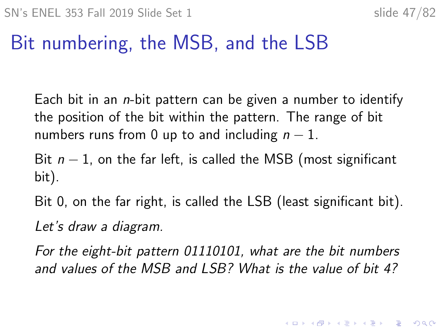#### Bit numbering, the MSB, and the LSB

Each bit in an  $n$ -bit pattern can be given a number to identify the position of the bit within the pattern. The range of bit numbers runs from 0 up to and including  $n - 1$ .

Bit  $n-1$ , on the far left, is called the MSB (most significant bit).

Bit 0, on the far right, is called the LSB (least significant bit). Let's draw a diagram.

For the eight-bit pattern 01110101, what are the bit numbers and values of the MSB and LSB? What is the value of bit 4?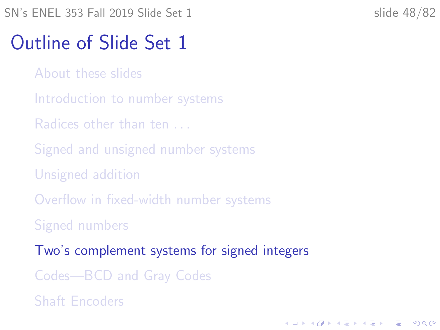#### <span id="page-47-0"></span>Outline of Slide Set 1

- [About these slides](#page-2-0)
- [Introduction to number systems](#page-5-0)
- [Radices other than ten . . .](#page-10-0)
- [Signed and unsigned number systems](#page-26-0)
- [Unsigned addition](#page-29-0)
- [Overflow in fixed-width number systems](#page-37-0)
- [Signed numbers](#page-41-0)
- [Two's complement systems for signed integers](#page-47-0)
- [Codes—BCD and Gray Codes](#page-62-0)
- [Shaft Encoders](#page-73-0)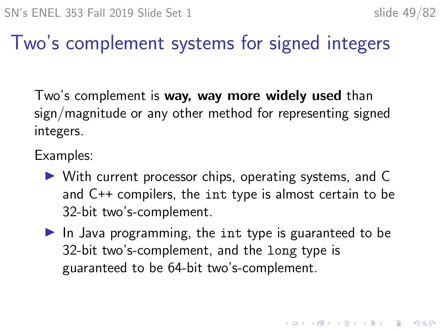4 0 > 4 4 + 4 = + 4 = + = + + 0 4 0 +

#### Two's complement systems for signed integers

Two's complement is way, way more widely used than sign/magnitude or any other method for representing signed integers.

Examples:

- $\triangleright$  With current processor chips, operating systems, and C and C++ compilers, the int type is almost certain to be 32-bit two's-complement.
- $\blacktriangleright$  In Java programming, the int type is guaranteed to be 32-bit two's-complement, and the long type is guaranteed to be 64-bit two's-complement.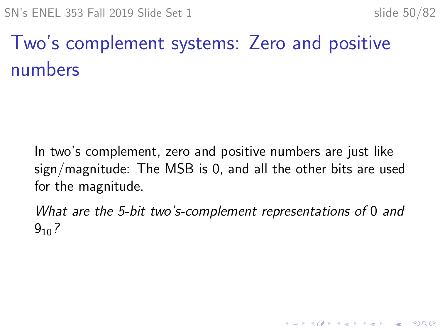## Two's complement systems: Zero and positive numbers

In two's complement, zero and positive numbers are just like sign/magnitude: The MSB is 0, and all the other bits are used for the magnitude.

What are the 5-bit two's-complement representations of 0 and  $9_{10}$  ?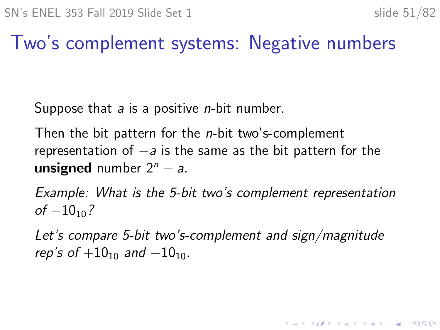#### Two's complement systems: Negative numbers

Suppose that  $a$  is a positive *n*-bit number.

Then the bit pattern for the *n*-bit two's-complement representation of  $-a$  is the same as the bit pattern for the unsigned number  $2^n - a$ .

Example: What is the 5-bit two's complement representation  $of -10<sub>10</sub>$ ?

Let's compare 5-bit two's-complement and sign/magnitude rep's of  $+10_{10}$  and  $-10_{10}$ .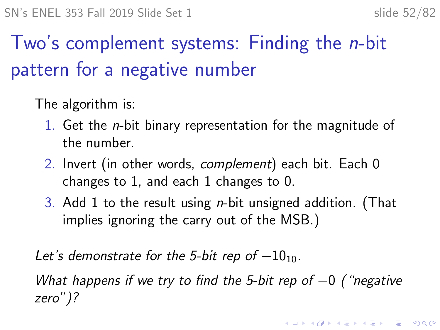## Two's complement systems: Finding the *n*-bit pattern for a negative number

The algorithm is:

- 1. Get the n-bit binary representation for the magnitude of the number.
- 2. Invert (in other words, complement) each bit. Each 0 changes to 1, and each 1 changes to 0.
- 3. Add 1 to the result using n-bit unsigned addition. (That implies ignoring the carry out of the MSB.)

Let's demonstrate for the 5-bit rep of  $-10_{10}$ .

What happens if we try to find the 5-bit rep of  $-0$  ("negative zero")?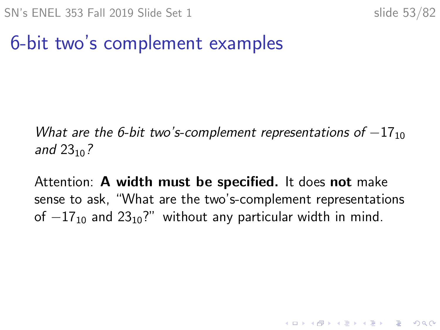#### 6-bit two's complement examples

What are the 6-bit two's-complement representations of  $-17_{10}$ and  $23_{10}$ ?

Attention: A width must be specified. It does not make sense to ask, "What are the two's-complement representations of  $-17_{10}$  and  $23_{10}$ ?" without any particular width in mind.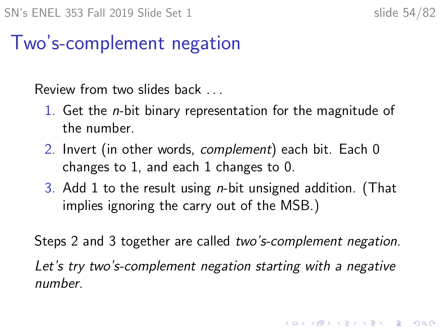4 0 > 4 4 + 4 = + 4 = + = + + 0 4 0 +

#### Two's-complement negation

Review from two slides back . . .

- 1. Get the n-bit binary representation for the magnitude of the number.
- 2. Invert (in other words, *complement*) each bit. Each 0 changes to 1, and each 1 changes to 0.
- 3. Add 1 to the result using n-bit unsigned addition. (That implies ignoring the carry out of the MSB.)

Steps 2 and 3 together are called two's-complement negation. Let's try two's-complement negation starting with a negative number.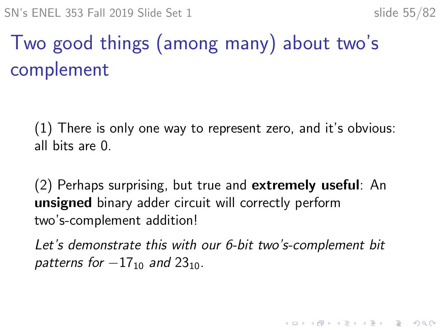# Two good things (among many) about two's complement

(1) There is only one way to represent zero, and it's obvious: all bits are 0.

(2) Perhaps surprising, but true and extremely useful: An unsigned binary adder circuit will correctly perform two's-complement addition!

Let's demonstrate this with our 6-bit two's-complement bit patterns for  $-17_{10}$  and  $23_{10}$ .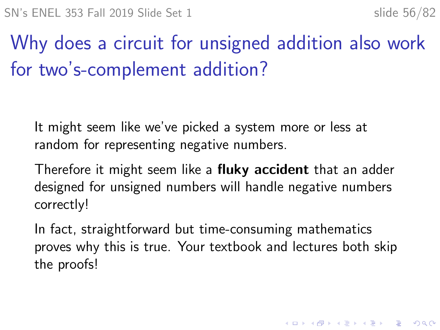Why does a circuit for unsigned addition also work for two's-complement addition?

It might seem like we've picked a system more or less at random for representing negative numbers.

Therefore it might seem like a **fluky accident** that an adder designed for unsigned numbers will handle negative numbers correctly!

In fact, straightforward but time-consuming mathematics proves why this is true. Your textbook and lectures both skip the proofs!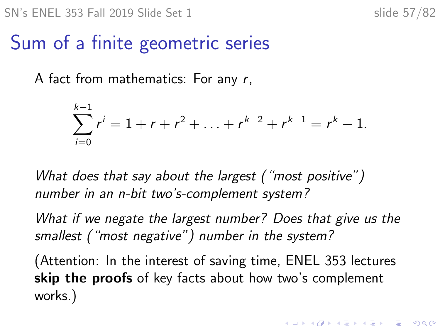#### Sum of a finite geometric series

A fact from mathematics: For any r,

$$
\sum_{i=0}^{k-1} r^{i} = 1 + r + r^{2} + \ldots + r^{k-2} + r^{k-1} = r^{k} - 1.
$$

What does that say about the largest ("most positive") number in an n-bit two's-complement system?

What if we negate the largest number? Does that give us the smallest ("most negative") number in the system?

(Attention: In the interest of saving time, ENEL 353 lectures skip the proofs of key facts about how two's complement works.)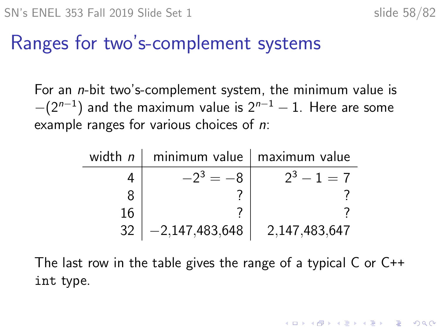KID KA KERKER E VOOR

#### Ranges for two's-complement systems

For an n-bit two's-complement system, the minimum value is  $-(2^{n-1})$  and the maximum value is  $2^{n-1}-1.$  Here are some example ranges for various choices of *n*:

| width $n \mid$ |                  | minimum value   maximum value |
|----------------|------------------|-------------------------------|
|                | $-2^3 = -8$      | $2^3 - 1 = 7$                 |
|                |                  |                               |
| 16             |                  |                               |
| 32             | $-2,147,483,648$ | 2,147,483,647                 |

The last row in the table gives the range of a typical C or C++ int type.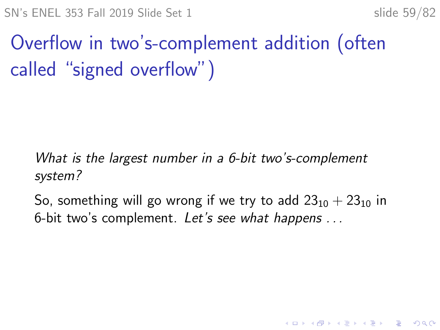SN's ENEL 353 Fall 2019 Slide Set 1 slide 59/82

## Overflow in two's-complement addition (often called "signed overflow")

What is the largest number in a 6-bit two's-complement system?

So, something will go wrong if we try to add  $23_{10} + 23_{10}$  in 6-bit two's complement. Let's see what happens . . .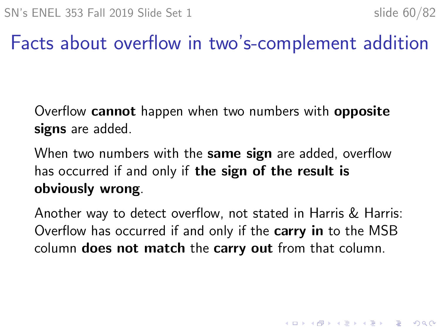4 0 > 4 4 + 4 = + 4 = + = + + 0 4 0 +

#### Facts about overflow in two's-complement addition

Overflow cannot happen when two numbers with opposite signs are added.

When two numbers with the same sign are added, overflow has occurred if and only if the sign of the result is obviously wrong.

Another way to detect overflow, not stated in Harris & Harris: Overflow has occurred if and only if the carry in to the MSB column does not match the carry out from that column.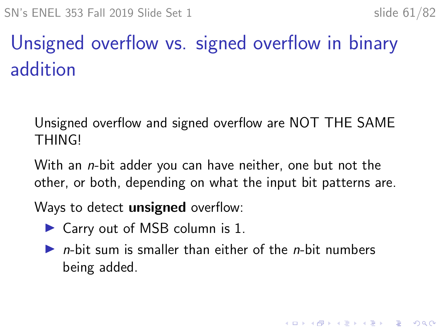## Unsigned overflow vs. signed overflow in binary addition

Unsigned overflow and signed overflow are NOT THE SAME **THING!** 

With an *n*-bit adder you can have neither, one but not the other, or both, depending on what the input bit patterns are.

Ways to detect **unsigned** overflow:

- $\triangleright$  Carry out of MSB column is 1.
- $\triangleright$  *n*-bit sum is smaller than either of the *n*-bit numbers being added.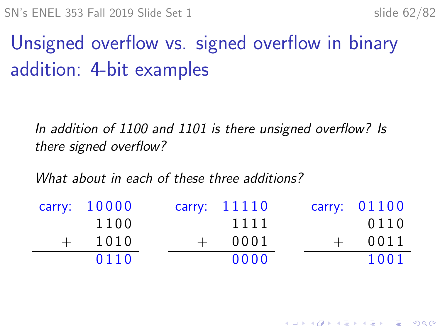## Unsigned overflow vs. signed overflow in binary addition: 4-bit examples

In addition of 1100 and 1101 is there unsigned overflow? Is there signed overflow?

What about in each of these three additions?

|     | carry: 10000 |     | carry: $11110$ | carry: 01100 |
|-----|--------------|-----|----------------|--------------|
|     | 1100         |     | 1111           | 0110         |
| $+$ | 1010         | $+$ | 0001           | 0011         |
|     | 0110         |     | 0000           | 1001         |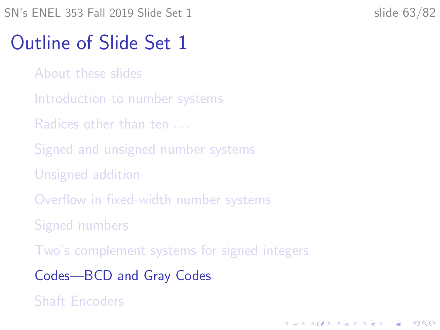## <span id="page-62-0"></span>Outline of Slide Set 1

- [About these slides](#page-2-0)
- [Introduction to number systems](#page-5-0)
- [Radices other than ten . . .](#page-10-0)
- [Signed and unsigned number systems](#page-26-0)
- [Unsigned addition](#page-29-0)
- [Overflow in fixed-width number systems](#page-37-0)
- [Signed numbers](#page-41-0)
- [Two's complement systems for signed integers](#page-47-0)
- [Codes—BCD and Gray Codes](#page-62-0)
- [Shaft Encoders](#page-73-0)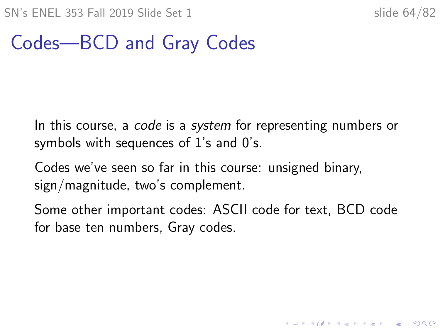#### Codes—BCD and Gray Codes

In this course, a *code* is a *system* for representing numbers or symbols with sequences of 1's and 0's.

Codes we've seen so far in this course: unsigned binary, sign/magnitude, two's complement.

Some other important codes: ASCII code for text, BCD code for base ten numbers, Gray codes.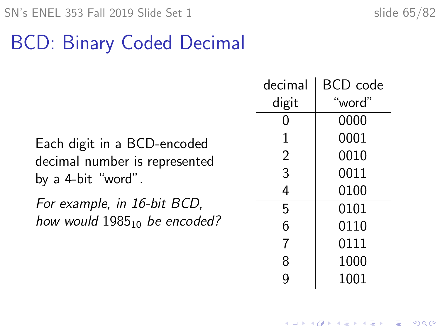## BCD: Binary Coded Decimal

Each digit in a BCD-encoded decimal number is represented by a 4-bit "word".

For example, in 16-bit BCD, how would  $1985_{10}$  be encoded?

| decimal | BCD code |
|---------|----------|
| digit   | "word"   |
| 0       | 0000     |
| 1       | 0001     |
| 2       | 0010     |
| 3       | 0011     |
| 4       | 0100     |
| 5       | 0101     |
| 6       | 0110     |
| 7       | 0111     |
| 8       | 1000     |
|         | 1001     |

**KORKARYKERKER POLO**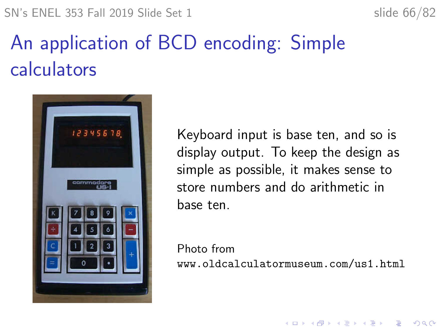SN's ENEL 353 Fall 2019 Slide Set 1 slide 66/82



## An application of BCD encoding: Simple calculators



Keyboard input is base ten, and so is display output. To keep the design as simple as possible, it makes sense to store numbers and do arithmetic in base ten.

Photo from <www.oldcalculatormuseum.com/us1.html>

**KORK ERKER ADAM ADA**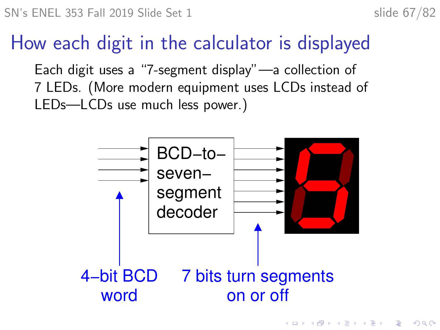4 0 > 4 4 + 4 = + 4 = + = + + 0 4 0 +

#### How each digit in the calculator is displayed

Each digit uses a "7-segment display"—a collection of 7 LEDs. (More modern equipment uses LCDs instead of LEDs—LCDs use much less power.)

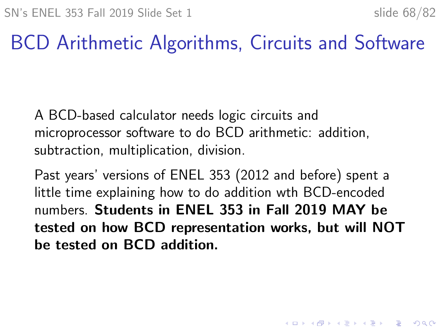### BCD Arithmetic Algorithms, Circuits and Software

A BCD-based calculator needs logic circuits and microprocessor software to do BCD arithmetic: addition, subtraction, multiplication, division.

Past years' versions of ENEL 353 (2012 and before) spent a little time explaining how to do addition wth BCD-encoded numbers. Students in ENEL 353 in Fall 2019 MAY be tested on how BCD representation works, but will NOT be tested on BCD addition.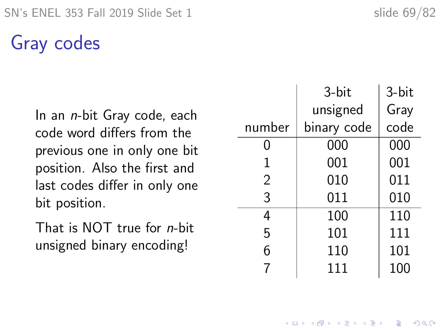#### Gray codes

In an n-bit Gray code, each code word differs from the previous one in only one bit position. Also the first and last codes differ in only one bit position.

That is NOT true for n-bit unsigned binary encoding!

|                | 3-bit       | 3-bit |
|----------------|-------------|-------|
|                | unsigned    | Gray  |
| number         | binary code | code  |
| 0              | 000         | 000   |
| 1              | 001         | 001   |
| $\overline{2}$ | 010         | 011   |
| 3              | 011         | 010   |
| 4              | 100         | 110   |
| 5              | 101         | 111   |
| 6              | 110         | 101   |
|                | 111         | 100   |

**KORKARYKERKER POLO**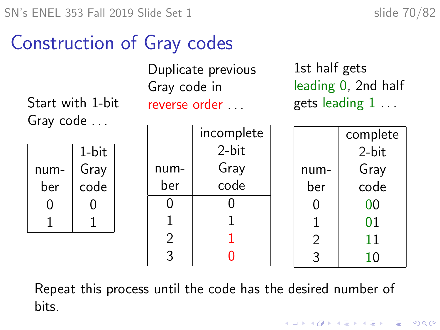#### Construction of Gray codes

Start with 1-bit Gray code . . .

Duplicate previous Gray code in reverse order . . .

1st half gets leading 0, 2nd half gets leading 1 . . .

|      | 1-bit |
|------|-------|
| num- | Gray  |
| ber  | code  |
| ( )  | U     |
|      |       |

| incomplete |  |  |
|------------|--|--|
| 2-bit      |  |  |
| Gray       |  |  |
| code       |  |  |
| 1          |  |  |
| 1          |  |  |
| 1          |  |  |
|            |  |  |
|            |  |  |

|      | complete |  |
|------|----------|--|
|      | 2-bit    |  |
| num- | Gray     |  |
| ber  | code     |  |
| 0    | 00       |  |
| 1    | 01       |  |
| 2    | 11       |  |
| ς    | 10       |  |
|      |          |  |

 $\mathbf{E} = \mathbf{A} \oplus \mathbf{B} + \mathbf{A} \oplus \mathbf{B} + \mathbf{A} \oplus \mathbf{B} + \mathbf{A} \oplus \mathbf{A}$ 

 $2990$ 

Repeat this process until the code has the desired number of bits.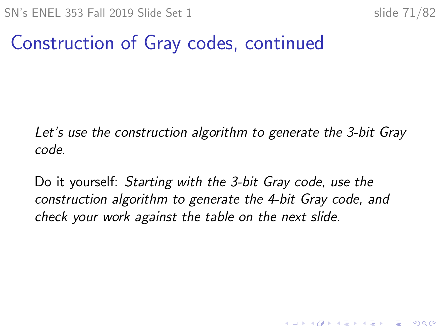#### Construction of Gray codes, continued

Let's use the construction algorithm to generate the 3-bit Gray code.

Do it yourself: Starting with the 3-bit Gray code, use the construction algorithm to generate the 4-bit Gray code, and check your work against the table on the next slide.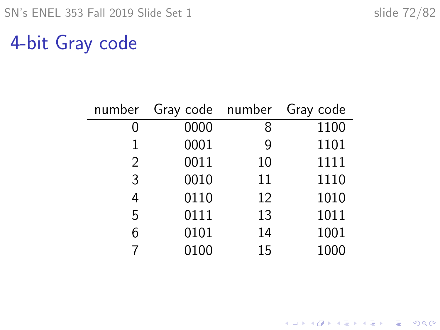K ロ ▶ K @ ▶ K 할 ▶ K 할 ▶ | 할 | ⊙Q @

#### 4-bit Gray code

| number | Gray code | number | Gray code |
|--------|-----------|--------|-----------|
|        | 0000      | 8      | 1100      |
|        | 0001      | 9      | 1101      |
| 2      | 0011      | 10     | 1111      |
| 3      | 0010      | 11     | 1110      |
| 4      | 0110      | 12     | 1010      |
| 5      | 0111      | 13     | 1011      |
|        | 0101      | 14     | 1001      |
|        | 0100      | 15     | 1000      |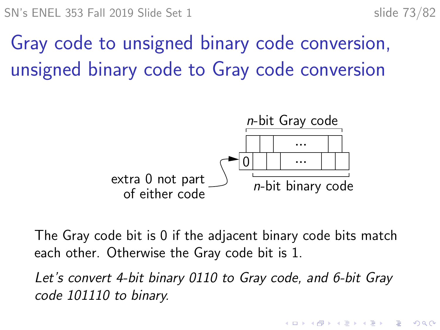**KORKARYKERKER POLO** 

# Gray code to unsigned binary code conversion, unsigned binary code to Gray code conversion



The Gray code bit is 0 if the adjacent binary code bits match each other. Otherwise the Gray code bit is 1.

Let's convert 4-bit binary 0110 to Gray code, and 6-bit Gray code 101110 to binary.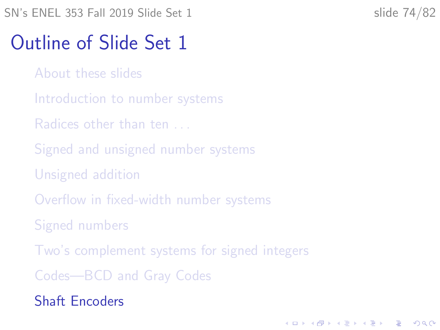**KORKARYKERKER POLO** 

## <span id="page-73-0"></span>Outline of Slide Set 1

- [About these slides](#page-2-0)
- [Introduction to number systems](#page-5-0)
- [Radices other than ten . . .](#page-10-0)
- [Signed and unsigned number systems](#page-26-0)
- [Unsigned addition](#page-29-0)
- [Overflow in fixed-width number systems](#page-37-0)
- [Signed numbers](#page-41-0)
- [Two's complement systems for signed integers](#page-47-0)
- [Codes—BCD and Gray Codes](#page-62-0)
- [Shaft Encoders](#page-73-0)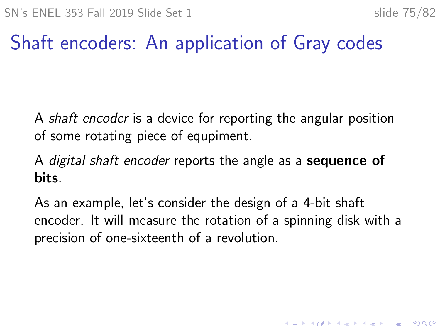KELK KØLK VELKEN EL 1990

## Shaft encoders: An application of Gray codes

A shaft encoder is a device for reporting the angular position of some rotating piece of equpiment.

A digital shaft encoder reports the angle as a **sequence of** bits.

As an example, let's consider the design of a 4-bit shaft encoder. It will measure the rotation of a spinning disk with a precision of one-sixteenth of a revolution.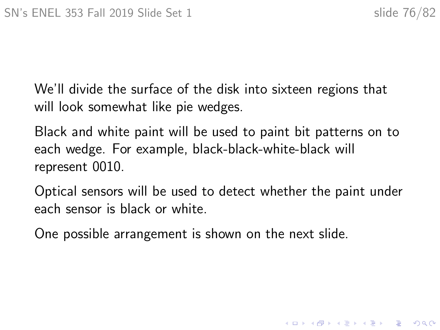K ロ ▶ K 個 ▶ K 할 ▶ K 할 ▶ 이 할 → 9 Q Q →

We'll divide the surface of the disk into sixteen regions that will look somewhat like pie wedges.

Black and white paint will be used to paint bit patterns on to each wedge. For example, black-black-white-black will represent 0010.

Optical sensors will be used to detect whether the paint under each sensor is black or white.

One possible arrangement is shown on the next slide.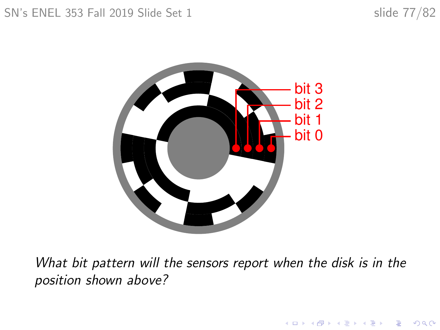K ロ ▶ K 個 ▶ K 할 ▶ K 할 ▶ 이 할 → 9 Q Q →



What bit pattern will the sensors report when the disk is in the position shown above?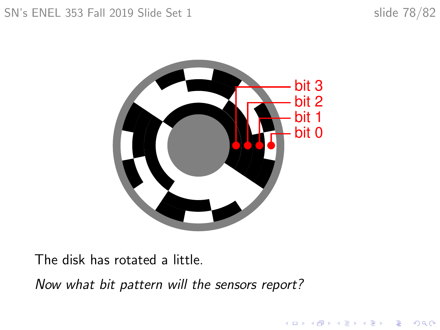K ロ ▶ K 個 ▶ K 결 ▶ K 결 ▶ │ 결 │ K 9 Q Q



The disk has rotated a little.

Now what bit pattern will the sensors report?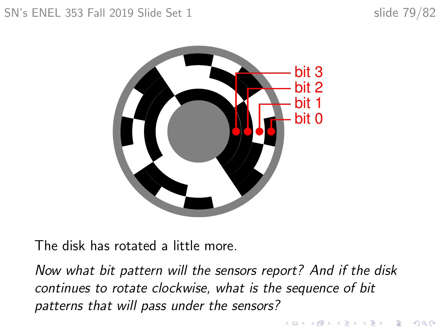### SN's ENEL 353 Fall 2019 Slide Set 1 slide 79/82

イロト イ押 トイミト イヨト ニヨー

 $2990$ 



The disk has rotated a little more.

Now what bit pattern will the sensors report? And if the disk continues to rotate clockwise, what is the sequence of bit patterns that will pass under the sensors?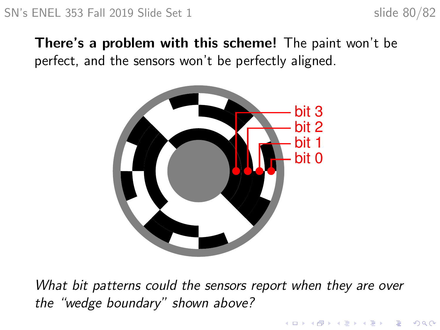$\mathbf{A} \equiv \mathbf{A} + \mathbf{A} + \mathbf{B} + \mathbf{A} + \mathbf{B} + \mathbf{A} + \mathbf{B} + \mathbf{A} + \mathbf{B} + \mathbf{A} + \mathbf{B} + \mathbf{A} + \mathbf{B} + \mathbf{A} + \mathbf{B} + \mathbf{A} + \mathbf{B} + \mathbf{A} + \mathbf{B} + \mathbf{A} + \mathbf{B} + \mathbf{A} + \mathbf{B} + \mathbf{A} + \mathbf{B} + \mathbf{A} + \mathbf{B} + \mathbf{A} + \mathbf{B} + \mathbf{A} + \math$ 

 $2990$ 

### There's a problem with this scheme! The paint won't be perfect, and the sensors won't be perfectly aligned.



What bit patterns could the sensors report when they are over the "wedge boundary" shown above?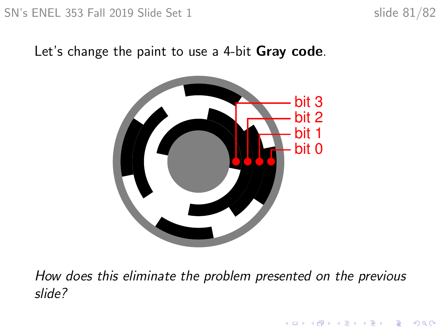$\mathbf{E} = \mathbf{A} \oplus \mathbf{B} + \mathbf{A} \oplus \mathbf{B} + \mathbf{A} \oplus \mathbf{B} + \mathbf{A} \oplus \mathbf{A}$ 

 $2990$ 

### Let's change the paint to use a 4-bit Gray code.



How does this eliminate the problem presented on the previous slide?